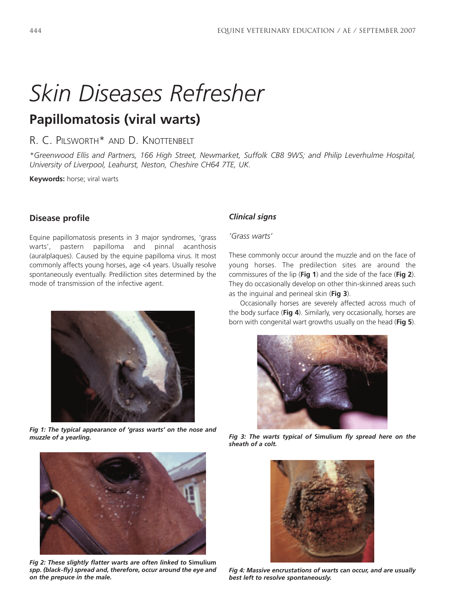# *Skin Diseases Refresher*

## **Papillomatosis (viral warts)**

### R. C. PILSWORTH\* AND D. KNOTTENBELT

*\*Greenwood Ellis and Partners, 166 High Street, Newmarket, Suffolk CB8 9WS; and Philip Leverhulme Hospital, University of Liverpool, Leahurst, Neston, Cheshire CH64 7TE, UK.*

**Keywords:** horse; viral warts

#### **Disease profile**

Equine papillomatosis presents in 3 major syndromes, 'grass warts', pastern papilloma and pinnal acanthosis (auralplaques). Caused by the equine papilloma virus. It most commonly affects young horses, age <4 years. Usually resolve spontaneously eventually. Prediliction sites determined by the mode of transmission of the infective agent.



*Fig 1: The typical appearance of 'grass warts' on the nose and muzzle of a yearling. Fig 3: The warts typical of* **Simulium** *fly spread here on the*



*Fig 2: These slightly flatter warts are often linked to* **Simulium** *spp. (black-fly) spread and, therefore, occur around the eye and on the prepuce in the male.*

#### *Clinical signs*

*'Grass warts'*

These commonly occur around the muzzle and on the face of young horses. The predilection sites are around the commissures of the lip (**Fig 1**) and the side of the face (**Fig 2**). They do occasionally develop on other thin-skinned areas such as the inguinal and perineal skin (**Fig 3**).

Occasionally horses are severely affected across much of the body surface (**Fig 4**). Similarly, very occasionally, horses are born with congenital wart growths usually on the head (**Fig 5**).



*sheath of a colt.*



*Fig 4: Massive encrustations of warts can occur, and are usually best left to resolve spontaneously.*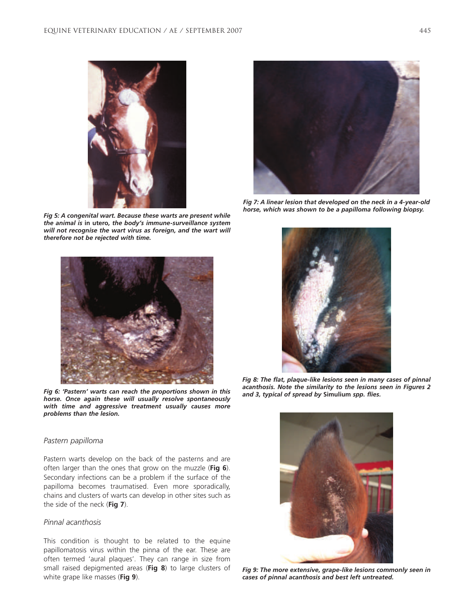

*Fig 5: A congenital wart. Because these warts are present while the animal is* **in utero***, the body's immune-surveillance system will not recognise the wart virus as foreign, and the wart will therefore not be rejected with time.*



*Fig 6: 'Pastern' warts can reach the proportions shown in this horse. Once again these will usually resolve spontaneously with time and aggressive treatment usually causes more problems than the lesion.*



*Fig 7: A linear lesion that developed on the neck in a 4-year-old horse, which was shown to be a papilloma following biopsy.*



*Fig 8: The flat, plaque-like lesions seen in many cases of pinnal acanthosis. Note the similarity to the lesions seen in Figures 2 and 3, typical of spread by* **Simulium** *spp. flies.*

#### *Pastern papilloma*

Pastern warts develop on the back of the pasterns and are often larger than the ones that grow on the muzzle (**Fig 6**). Secondary infections can be a problem if the surface of the papilloma becomes traumatised. Even more sporadically, chains and clusters of warts can develop in other sites such as the side of the neck (**Fig 7**).

#### *Pinnal acanthosis*

This condition is thought to be related to the equine papillomatosis virus within the pinna of the ear. These are often termed 'aural plaques'. They can range in size from small raised depigmented areas (**Fig 8**) to large clusters of white grape like masses (**Fig 9**).



*Fig 9: The more extensive, grape-like lesions commonly seen in cases of pinnal acanthosis and best left untreated.*